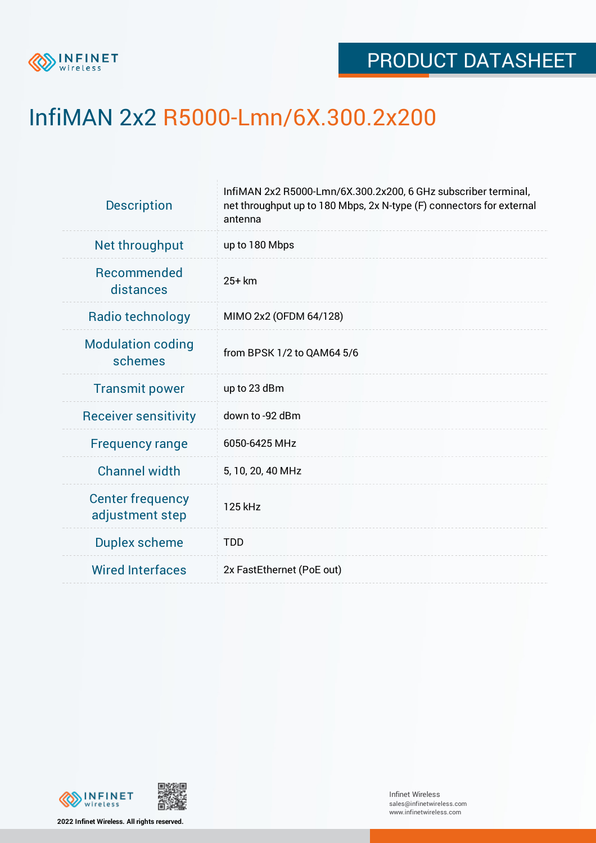

## InfiMAN 2x2 R5000-Lmn/6X.300.2x200

| <b>Description</b>                         | InfiMAN 2x2 R5000-Lmn/6X.300.2x200, 6 GHz subscriber terminal,<br>net throughput up to 180 Mbps, 2x N-type (F) connectors for external<br>antenna |  |  |  |  |
|--------------------------------------------|---------------------------------------------------------------------------------------------------------------------------------------------------|--|--|--|--|
| Net throughput                             | up to 180 Mbps                                                                                                                                    |  |  |  |  |
| <b>Recommended</b><br>distances            | $25+km$                                                                                                                                           |  |  |  |  |
| Radio technology                           | MIMO 2x2 (OFDM 64/128)                                                                                                                            |  |  |  |  |
| <b>Modulation coding</b><br>schemes        | from BPSK 1/2 to QAM64 5/6                                                                                                                        |  |  |  |  |
| <b>Transmit power</b>                      | up to 23 dBm                                                                                                                                      |  |  |  |  |
| <b>Receiver sensitivity</b>                | down to -92 dBm                                                                                                                                   |  |  |  |  |
| <b>Frequency range</b>                     | 6050-6425 MHz                                                                                                                                     |  |  |  |  |
| <b>Channel width</b>                       | 5, 10, 20, 40 MHz                                                                                                                                 |  |  |  |  |
| <b>Center frequency</b><br>adjustment step | 125 kHz                                                                                                                                           |  |  |  |  |
| <b>Duplex scheme</b>                       | <b>TDD</b>                                                                                                                                        |  |  |  |  |
| <b>Wired Interfaces</b>                    | 2x FastEthernet (PoE out)                                                                                                                         |  |  |  |  |



**2022 Infinet Wireless. All rights reserved.**

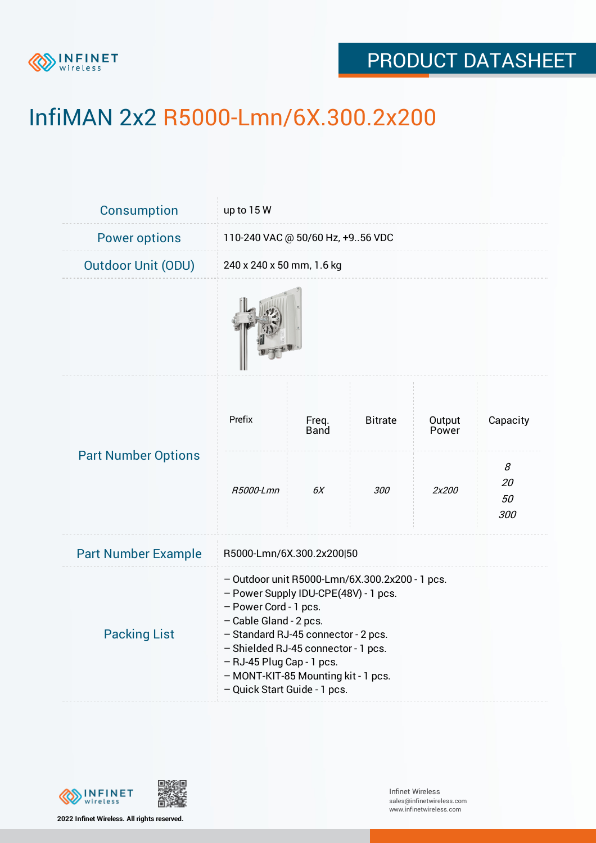

## PRODUCT DATASHEET

# InfiMAN 2x2 R5000-Lmn/6X.300.2x200

| <b>Consumption</b>         | up to 15 W                                                                                                                                                                                                                                                                                                                  |               |                |                 |                      |  |
|----------------------------|-----------------------------------------------------------------------------------------------------------------------------------------------------------------------------------------------------------------------------------------------------------------------------------------------------------------------------|---------------|----------------|-----------------|----------------------|--|
| <b>Power options</b>       | 110-240 VAC @ 50/60 Hz, +956 VDC                                                                                                                                                                                                                                                                                            |               |                |                 |                      |  |
| <b>Outdoor Unit (ODU)</b>  | 240 x 240 x 50 mm, 1.6 kg                                                                                                                                                                                                                                                                                                   |               |                |                 |                      |  |
|                            |                                                                                                                                                                                                                                                                                                                             |               |                |                 |                      |  |
| <b>Part Number Options</b> | Prefix                                                                                                                                                                                                                                                                                                                      | Freq.<br>Band | <b>Bitrate</b> | Output<br>Power | Capacity             |  |
|                            | R5000-Lmn                                                                                                                                                                                                                                                                                                                   | 6X            | 300            | 2x200           | 8<br>20<br>50<br>300 |  |
| <b>Part Number Example</b> | R5000-Lmn/6X.300.2x200 50                                                                                                                                                                                                                                                                                                   |               |                |                 |                      |  |
| <b>Packing List</b>        | - Outdoor unit R5000-Lmn/6X.300.2x200 - 1 pcs.<br>- Power Supply IDU-CPE(48V) - 1 pcs.<br>- Power Cord - 1 pcs.<br>- Cable Gland - 2 pcs.<br>- Standard RJ-45 connector - 2 pcs.<br>- Shielded RJ-45 connector - 1 pcs.<br>- RJ-45 Plug Cap - 1 pcs.<br>- MONT-KIT-85 Mounting kit - 1 pcs.<br>- Quick Start Guide - 1 pcs. |               |                |                 |                      |  |

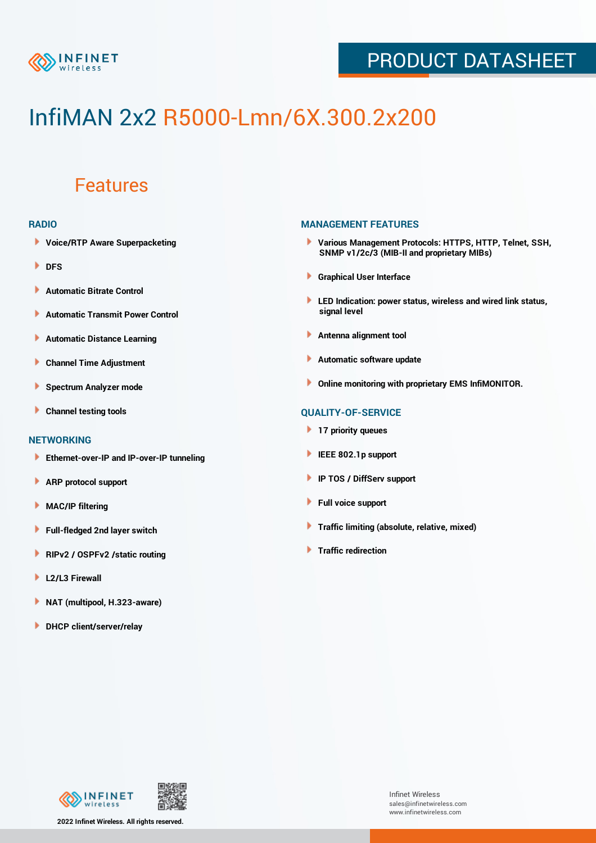

## PRODUCT DATASHEET

# InfiMAN 2x2 R5000-Lmn/6X.300.2x200

### Features

#### **RADIO**

- **Voice/RTP Aware Superpacketing**
- **DFS**
- **Automatic Bitrate Control** Þ
- Þ **Automatic Transmit Power Control**
- Þ **Automatic Distance Learning**
- Þ **Channel Time Adjustment**
- Þ **Spectrum Analyzer mode**
- Þ **Channel testing tools**

#### **NETWORKING**

- **Ethernet-over-IP and IP-over-IP tunneling**
- Þ **ARP protocol support**
- **MAC/IP filtering** Þ
- Þ **Full-fledged 2nd layer switch**
- **RIPv2 / OSPFv2 /static routing** Þ
- ٠ **L2/L3 Firewall**
- ١ **NAT (multipool, H.323-aware)**
- **DHCP client/server/relay**

#### **MANAGEMENT FEATURES**

- **Various Management Protocols: HTTPS, HTTP, Telnet, SSH, SNMP v1/2c/3 (MIB-II and proprietary MIBs)**
- **Graphical User Interface**
- **LED Indication: power status, wireless and wired link status, signal level**
- **Antenna alignment tool**
- ٠ **Automatic software update**
- **Online monitoring with proprietary EMS InfiMONITOR.**

#### **QUALITY-OF-SERVICE**

- **17 priority queues**
- **IEEE 802.1p support**
- **IP TOS / DiffServ support**
- ٠ **Full voice support**
- **Traffic limiting (absolute, relative, mixed)** ٠
- **Traffic redirection**